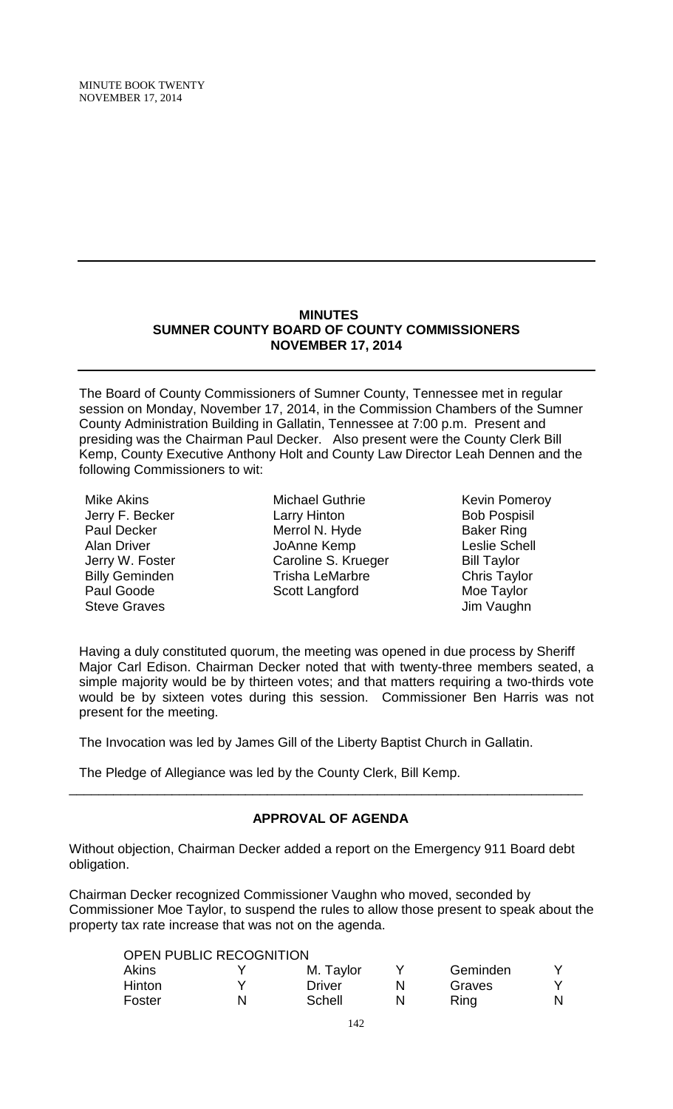## **MINUTES SUMNER COUNTY BOARD OF COUNTY COMMISSIONERS NOVEMBER 17, 2014**

The Board of County Commissioners of Sumner County, Tennessee met in regular session on Monday, November 17, 2014, in the Commission Chambers of the Sumner County Administration Building in Gallatin, Tennessee at 7:00 p.m. Present and presiding was the Chairman Paul Decker. Also present were the County Clerk Bill Kemp, County Executive Anthony Holt and County Law Director Leah Dennen and the following Commissioners to wit:

Mike Akins Jerry F. Becker Paul Decker Alan Driver Jerry W. Foster Billy Geminden Paul Goode Steve Graves

Michael Guthrie Larry Hinton Merrol N. Hyde JoAnne Kemp Caroline S. Krueger Trisha LeMarbre Scott Langford

Kevin Pomeroy Bob Pospisil Baker Ring Leslie Schell Bill Taylor Chris Taylor Moe Taylor Jim Vaughn

Having a duly constituted quorum, the meeting was opened in due process by Sheriff Major Carl Edison. Chairman Decker noted that with twenty-three members seated, a simple majority would be by thirteen votes; and that matters requiring a two-thirds vote would be by sixteen votes during this session. Commissioner Ben Harris was not present for the meeting.

The Invocation was led by James Gill of the Liberty Baptist Church in Gallatin.

The Pledge of Allegiance was led by the County Clerk, Bill Kemp.

## **APPROVAL OF AGENDA**

\_\_\_\_\_\_\_\_\_\_\_\_\_\_\_\_\_\_\_\_\_\_\_\_\_\_\_\_\_\_\_\_\_\_\_\_\_\_\_\_\_\_\_\_\_\_\_\_\_\_\_\_\_\_\_\_\_\_\_\_\_\_\_\_\_\_\_\_\_\_

Without objection, Chairman Decker added a report on the Emergency 911 Board debt obligation.

Chairman Decker recognized Commissioner Vaughn who moved, seconded by Commissioner Moe Taylor, to suspend the rules to allow those present to speak about the property tax rate increase that was not on the agenda.

| <b>OPEN PUBLIC RECOGNITION</b> |   |           |          |  |
|--------------------------------|---|-----------|----------|--|
| Akins                          |   | M. Taylor | Geminden |  |
| Hinton                         | v | Driver    | Graves   |  |
| Foster                         | N | Schell    | Ring     |  |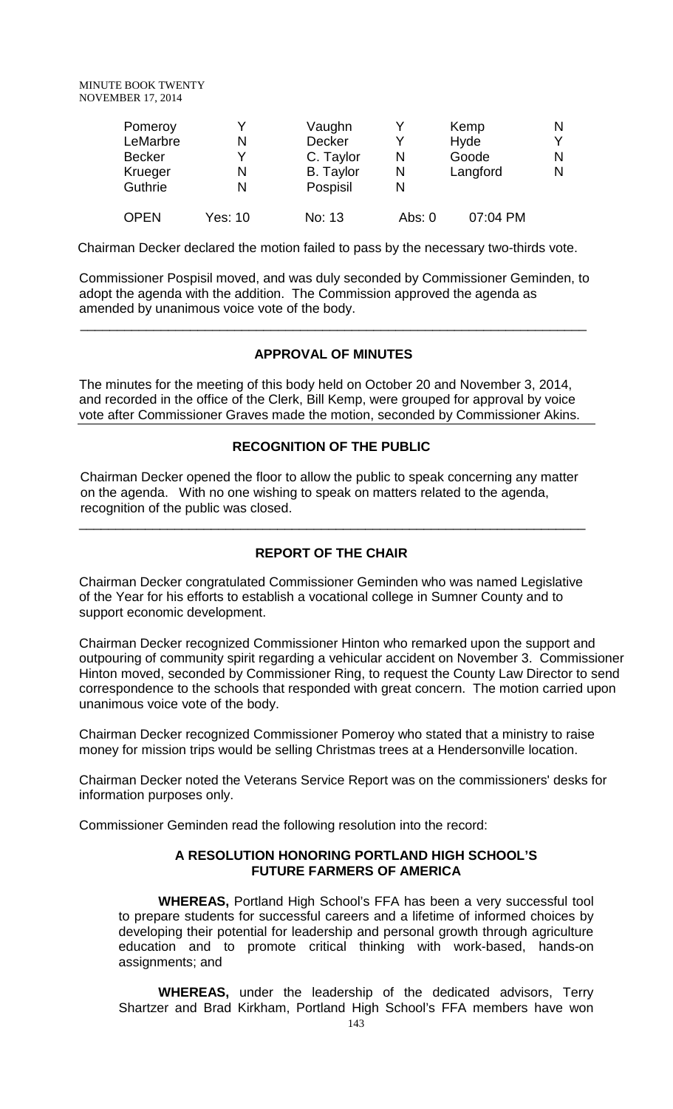| Pomeroy       |         | Vaughn           |          | Kemp     | N |
|---------------|---------|------------------|----------|----------|---|
| LeMarbre      | N       | <b>Decker</b>    | v        | Hyde     | Y |
| <b>Becker</b> |         | C. Taylor        | N        | Goode    | N |
| Krueger       | N       | <b>B.</b> Taylor | N        | Langford | N |
| Guthrie       | N       | Pospisil         | N        |          |   |
| <b>OPEN</b>   | Yes: 10 | No: 13           | Abs: $0$ | 07:04 PM |   |

Chairman Decker declared the motion failed to pass by the necessary two-thirds vote.

Commissioner Pospisil moved, and was duly seconded by Commissioner Geminden, to adopt the agenda with the addition. The Commission approved the agenda as amended by unanimous voice vote of the body.

### **APPROVAL OF MINUTES**

 $\overline{\phantom{a}}$  , and the contribution of the contribution of the contribution of the contribution of the contribution of the contribution of the contribution of the contribution of the contribution of the contribution of the

The minutes for the meeting of this body held on October 20 and November 3, 2014, and recorded in the office of the Clerk, Bill Kemp, were grouped for approval by voice vote after Commissioner Graves made the motion, seconded by Commissioner Akins.

## **RECOGNITION OF THE PUBLIC**

 Chairman Decker opened the floor to allow the public to speak concerning any matter on the agenda. With no one wishing to speak on matters related to the agenda, recognition of the public was closed.

### **REPORT OF THE CHAIR**

\_\_\_\_\_\_\_\_\_\_\_\_\_\_\_\_\_\_\_\_\_\_\_\_\_\_\_\_\_\_\_\_\_\_\_\_\_\_\_\_\_\_\_\_\_\_\_\_\_\_\_\_\_\_\_\_\_\_\_\_\_\_\_\_\_\_\_\_\_

Chairman Decker congratulated Commissioner Geminden who was named Legislative of the Year for his efforts to establish a vocational college in Sumner County and to support economic development.

Chairman Decker recognized Commissioner Hinton who remarked upon the support and outpouring of community spirit regarding a vehicular accident on November 3. Commissioner Hinton moved, seconded by Commissioner Ring, to request the County Law Director to send correspondence to the schools that responded with great concern. The motion carried upon unanimous voice vote of the body.

Chairman Decker recognized Commissioner Pomeroy who stated that a ministry to raise money for mission trips would be selling Christmas trees at a Hendersonville location.

Chairman Decker noted the Veterans Service Report was on the commissioners' desks for information purposes only.

Commissioner Geminden read the following resolution into the record:

## **A RESOLUTION HONORING PORTLAND HIGH SCHOOL'S FUTURE FARMERS OF AMERICA**

**WHEREAS,** Portland High School's FFA has been a very successful tool to prepare students for successful careers and a lifetime of informed choices by developing their potential for leadership and personal growth through agriculture education and to promote critical thinking with work-based, hands-on assignments; and

**WHEREAS,** under the leadership of the dedicated advisors, Terry Shartzer and Brad Kirkham, Portland High School's FFA members have won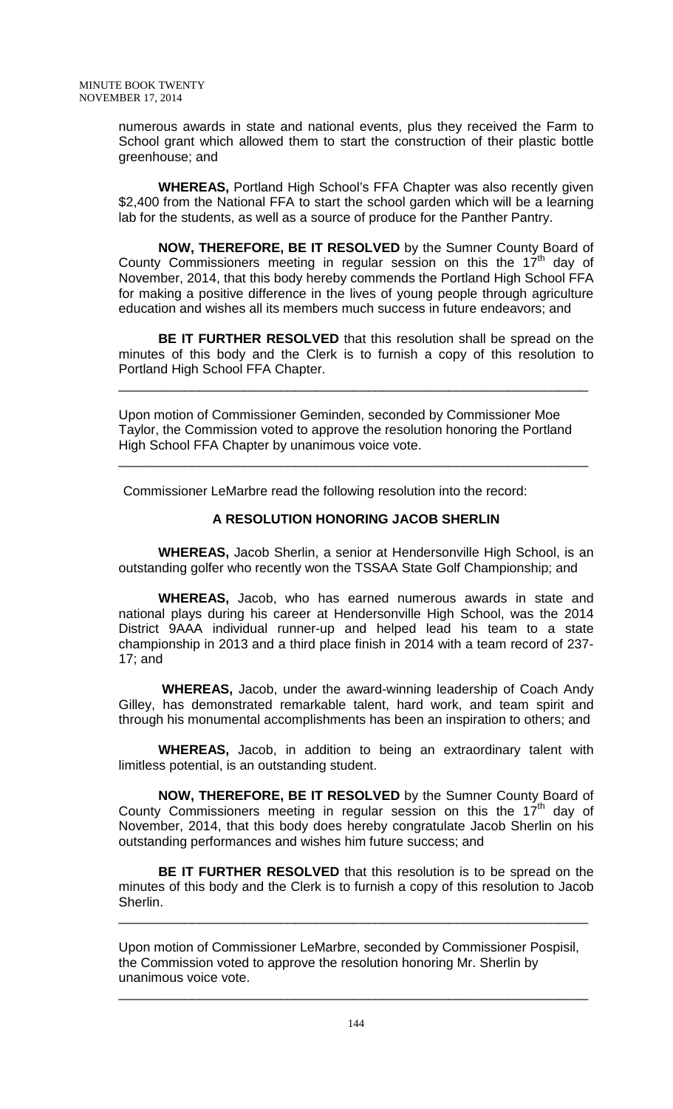numerous awards in state and national events, plus they received the Farm to School grant which allowed them to start the construction of their plastic bottle greenhouse; and

**WHEREAS,** Portland High School's FFA Chapter was also recently given \$2,400 from the National FFA to start the school garden which will be a learning lab for the students, as well as a source of produce for the Panther Pantry.

**NOW, THEREFORE, BE IT RESOLVED** by the Sumner County Board of County Commissioners meeting in regular session on this the  $17<sup>th</sup>$  day of November, 2014, that this body hereby commends the Portland High School FFA for making a positive difference in the lives of young people through agriculture education and wishes all its members much success in future endeavors; and

**BE IT FURTHER RESOLVED** that this resolution shall be spread on the minutes of this body and the Clerk is to furnish a copy of this resolution to Portland High School FFA Chapter.

\_\_\_\_\_\_\_\_\_\_\_\_\_\_\_\_\_\_\_\_\_\_\_\_\_\_\_\_\_\_\_\_\_\_\_\_\_\_\_\_\_\_\_\_\_\_\_\_\_\_\_\_\_\_\_\_\_\_\_\_\_\_\_\_

Upon motion of Commissioner Geminden, seconded by Commissioner Moe Taylor, the Commission voted to approve the resolution honoring the Portland High School FFA Chapter by unanimous voice vote.

\_\_\_\_\_\_\_\_\_\_\_\_\_\_\_\_\_\_\_\_\_\_\_\_\_\_\_\_\_\_\_\_\_\_\_\_\_\_\_\_\_\_\_\_\_\_\_\_\_\_\_\_\_\_\_\_\_\_\_\_\_\_\_\_

Commissioner LeMarbre read the following resolution into the record:

# **A RESOLUTION HONORING JACOB SHERLIN**

**WHEREAS,** Jacob Sherlin, a senior at Hendersonville High School, is an outstanding golfer who recently won the TSSAA State Golf Championship; and

**WHEREAS,** Jacob, who has earned numerous awards in state and national plays during his career at Hendersonville High School, was the 2014 District 9AAA individual runner-up and helped lead his team to a state championship in 2013 and a third place finish in 2014 with a team record of 237- 17; and

**WHEREAS,** Jacob, under the award-winning leadership of Coach Andy Gilley, has demonstrated remarkable talent, hard work, and team spirit and through his monumental accomplishments has been an inspiration to others; and

**WHEREAS,** Jacob, in addition to being an extraordinary talent with limitless potential, is an outstanding student.

**NOW, THEREFORE, BE IT RESOLVED** by the Sumner County Board of County Commissioners meeting in regular session on this the  $17<sup>th</sup>$  day of November, 2014, that this body does hereby congratulate Jacob Sherlin on his outstanding performances and wishes him future success; and

**BE IT FURTHER RESOLVED** that this resolution is to be spread on the minutes of this body and the Clerk is to furnish a copy of this resolution to Jacob Sherlin.

\_\_\_\_\_\_\_\_\_\_\_\_\_\_\_\_\_\_\_\_\_\_\_\_\_\_\_\_\_\_\_\_\_\_\_\_\_\_\_\_\_\_\_\_\_\_\_\_\_\_\_\_\_\_\_\_\_\_\_\_\_\_\_\_

Upon motion of Commissioner LeMarbre, seconded by Commissioner Pospisil, the Commission voted to approve the resolution honoring Mr. Sherlin by unanimous voice vote.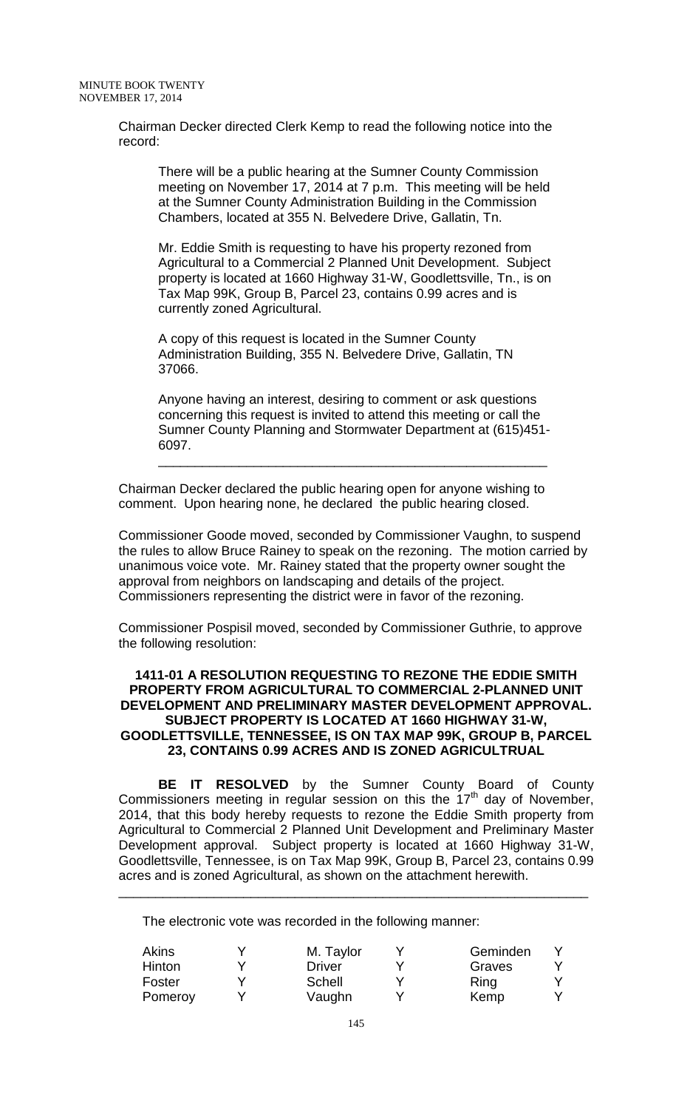Chairman Decker directed Clerk Kemp to read the following notice into the record:

There will be a public hearing at the Sumner County Commission meeting on November 17, 2014 at 7 p.m. This meeting will be held at the Sumner County Administration Building in the Commission Chambers, located at 355 N. Belvedere Drive, Gallatin, Tn.

Mr. Eddie Smith is requesting to have his property rezoned from Agricultural to a Commercial 2 Planned Unit Development. Subject property is located at 1660 Highway 31-W, Goodlettsville, Tn., is on Tax Map 99K, Group B, Parcel 23, contains 0.99 acres and is currently zoned Agricultural.

A copy of this request is located in the Sumner County Administration Building, 355 N. Belvedere Drive, Gallatin, TN 37066.

Anyone having an interest, desiring to comment or ask questions concerning this request is invited to attend this meeting or call the Sumner County Planning and Stormwater Department at (615)451- 6097.

\_\_\_\_\_\_\_\_\_\_\_\_\_\_\_\_\_\_\_\_\_\_\_\_\_\_\_\_\_\_\_\_\_\_\_\_\_\_\_\_\_\_\_\_\_\_\_\_\_\_\_\_\_

Chairman Decker declared the public hearing open for anyone wishing to comment. Upon hearing none, he declared the public hearing closed.

Commissioner Goode moved, seconded by Commissioner Vaughn, to suspend the rules to allow Bruce Rainey to speak on the rezoning. The motion carried by unanimous voice vote. Mr. Rainey stated that the property owner sought the approval from neighbors on landscaping and details of the project. Commissioners representing the district were in favor of the rezoning.

Commissioner Pospisil moved, seconded by Commissioner Guthrie, to approve the following resolution:

### **1411-01 A RESOLUTION REQUESTING TO REZONE THE EDDIE SMITH PROPERTY FROM AGRICULTURAL TO COMMERCIAL 2-PLANNED UNIT DEVELOPMENT AND PRELIMINARY MASTER DEVELOPMENT APPROVAL. SUBJECT PROPERTY IS LOCATED AT 1660 HIGHWAY 31-W, GOODLETTSVILLE, TENNESSEE, IS ON TAX MAP 99K, GROUP B, PARCEL 23, CONTAINS 0.99 ACRES AND IS ZONED AGRICULTRUAL**

**BE IT RESOLVED** by the Sumner County Board of County Commissioners meeting in regular session on this the  $17<sup>th</sup>$  day of November, 2014, that this body hereby requests to rezone the Eddie Smith property from Agricultural to Commercial 2 Planned Unit Development and Preliminary Master Development approval. Subject property is located at 1660 Highway 31-W, Goodlettsville, Tennessee, is on Tax Map 99K, Group B, Parcel 23, contains 0.99 acres and is zoned Agricultural, as shown on the attachment herewith.

\_\_\_\_\_\_\_\_\_\_\_\_\_\_\_\_\_\_\_\_\_\_\_\_\_\_\_\_\_\_\_\_\_\_\_\_\_\_\_\_\_\_\_\_\_\_\_\_\_\_\_\_\_\_\_\_\_\_\_\_\_\_\_\_

The electronic vote was recorded in the following manner:

| M. Taylor     | Geminden |  |
|---------------|----------|--|
| <b>Driver</b> | Graves   |  |
| Schell        | Ring     |  |
| Vaughn        | Kemp     |  |
|               |          |  |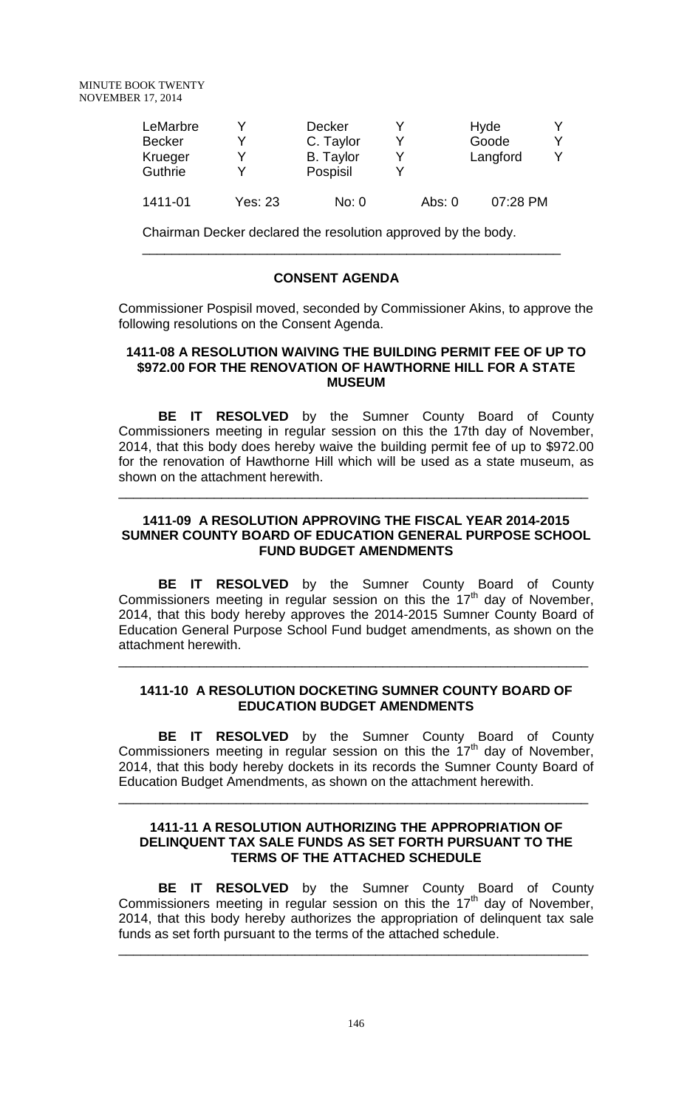| LeMarbre<br><b>Becker</b><br>Krueger<br>Guthrie |                | Decker<br>C. Taylor<br><b>B.</b> Taylor<br>Pospisil |          | Hyde<br>Goode<br>Langford | v |
|-------------------------------------------------|----------------|-----------------------------------------------------|----------|---------------------------|---|
| 1411-01                                         | <b>Yes: 23</b> | No: 0                                               | Abs: $0$ | 07:28 PM                  |   |

\_\_\_\_\_\_\_\_\_\_\_\_\_\_\_\_\_\_\_\_\_\_\_\_\_\_\_\_\_\_\_\_\_\_\_\_\_\_\_\_\_\_\_\_\_\_\_\_\_\_\_\_\_\_\_\_\_

Chairman Decker declared the resolution approved by the body.

## **CONSENT AGENDA**

Commissioner Pospisil moved, seconded by Commissioner Akins, to approve the following resolutions on the Consent Agenda.

### **1411-08 A RESOLUTION WAIVING THE BUILDING PERMIT FEE OF UP TO \$972.00 FOR THE RENOVATION OF HAWTHORNE HILL FOR A STATE MUSEUM**

**BE IT RESOLVED** by the Sumner County Board of County Commissioners meeting in regular session on this the 17th day of November, 2014, that this body does hereby waive the building permit fee of up to \$972.00 for the renovation of Hawthorne Hill which will be used as a state museum, as shown on the attachment herewith.

## **1411-09 A RESOLUTION APPROVING THE FISCAL YEAR 2014-2015 SUMNER COUNTY BOARD OF EDUCATION GENERAL PURPOSE SCHOOL FUND BUDGET AMENDMENTS**

\_\_\_\_\_\_\_\_\_\_\_\_\_\_\_\_\_\_\_\_\_\_\_\_\_\_\_\_\_\_\_\_\_\_\_\_\_\_\_\_\_\_\_\_\_\_\_\_\_\_\_\_\_\_\_\_\_\_\_\_\_\_\_\_

**BE IT RESOLVED** by the Sumner County Board of County Commissioners meeting in regular session on this the  $17<sup>th</sup>$  day of November, 2014, that this body hereby approves the 2014-2015 Sumner County Board of Education General Purpose School Fund budget amendments, as shown on the attachment herewith.

## **1411-10 A RESOLUTION DOCKETING SUMNER COUNTY BOARD OF EDUCATION BUDGET AMENDMENTS**

\_\_\_\_\_\_\_\_\_\_\_\_\_\_\_\_\_\_\_\_\_\_\_\_\_\_\_\_\_\_\_\_\_\_\_\_\_\_\_\_\_\_\_\_\_\_\_\_\_\_\_\_\_\_\_\_\_\_\_\_\_\_\_\_

**BE IT RESOLVED** by the Sumner County Board of County Commissioners meeting in regular session on this the 17th day of November, 2014, that this body hereby dockets in its records the Sumner County Board of Education Budget Amendments, as shown on the attachment herewith.

\_\_\_\_\_\_\_\_\_\_\_\_\_\_\_\_\_\_\_\_\_\_\_\_\_\_\_\_\_\_\_\_\_\_\_\_\_\_\_\_\_\_\_\_\_\_\_\_\_\_\_\_\_\_\_\_\_\_\_\_\_\_\_\_

### **1411-11 A RESOLUTION AUTHORIZING THE APPROPRIATION OF DELINQUENT TAX SALE FUNDS AS SET FORTH PURSUANT TO THE TERMS OF THE ATTACHED SCHEDULE**

**BE IT RESOLVED** by the Sumner County Board of County Commissioners meeting in regular session on this the  $17<sup>th</sup>$  day of November, 2014, that this body hereby authorizes the appropriation of delinquent tax sale funds as set forth pursuant to the terms of the attached schedule.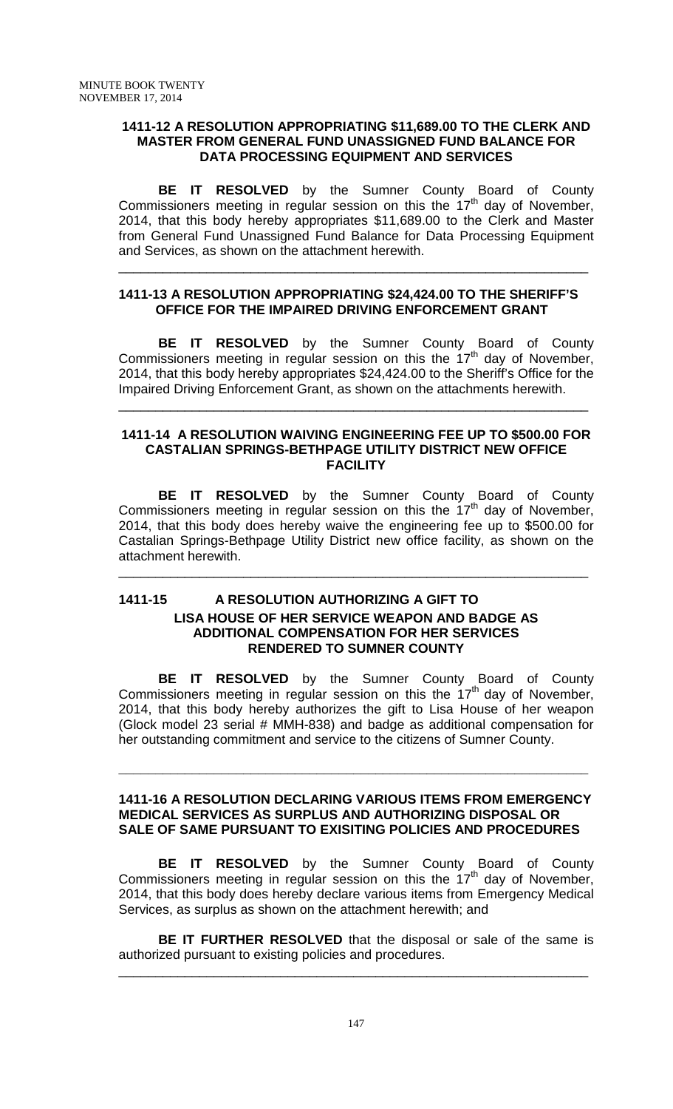### **1411-12 A RESOLUTION APPROPRIATING \$11,689.00 TO THE CLERK AND MASTER FROM GENERAL FUND UNASSIGNED FUND BALANCE FOR DATA PROCESSING EQUIPMENT AND SERVICES**

**BE IT RESOLVED** by the Sumner County Board of County Commissioners meeting in regular session on this the  $17<sup>th</sup>$  day of November, 2014, that this body hereby appropriates \$11,689.00 to the Clerk and Master from General Fund Unassigned Fund Balance for Data Processing Equipment and Services, as shown on the attachment herewith.

## **1411-13 A RESOLUTION APPROPRIATING \$24,424.00 TO THE SHERIFF'S OFFICE FOR THE IMPAIRED DRIVING ENFORCEMENT GRANT**

\_\_\_\_\_\_\_\_\_\_\_\_\_\_\_\_\_\_\_\_\_\_\_\_\_\_\_\_\_\_\_\_\_\_\_\_\_\_\_\_\_\_\_\_\_\_\_\_\_\_\_\_\_\_\_\_\_\_\_\_\_\_\_\_

**BE IT RESOLVED** by the Sumner County Board of County Commissioners meeting in regular session on this the 17<sup>th</sup> day of November, 2014, that this body hereby appropriates \$24,424.00 to the Sheriff's Office for the Impaired Driving Enforcement Grant, as shown on the attachments herewith.

\_\_\_\_\_\_\_\_\_\_\_\_\_\_\_\_\_\_\_\_\_\_\_\_\_\_\_\_\_\_\_\_\_\_\_\_\_\_\_\_\_\_\_\_\_\_\_\_\_\_\_\_\_\_\_\_\_\_\_\_\_\_\_\_

## **1411-14 A RESOLUTION WAIVING ENGINEERING FEE UP TO \$500.00 FOR CASTALIAN SPRINGS-BETHPAGE UTILITY DISTRICT NEW OFFICE FACILITY**

**BE IT RESOLVED** by the Sumner County Board of County Commissioners meeting in regular session on this the 17th day of November, 2014, that this body does hereby waive the engineering fee up to \$500.00 for Castalian Springs-Bethpage Utility District new office facility, as shown on the attachment herewith.

\_\_\_\_\_\_\_\_\_\_\_\_\_\_\_\_\_\_\_\_\_\_\_\_\_\_\_\_\_\_\_\_\_\_\_\_\_\_\_\_\_\_\_\_\_\_\_\_\_\_\_\_\_\_\_\_\_\_\_\_\_\_\_\_

# **1411-15 A RESOLUTION AUTHORIZING A GIFT TO LISA HOUSE OF HER SERVICE WEAPON AND BADGE AS ADDITIONAL COMPENSATION FOR HER SERVICES RENDERED TO SUMNER COUNTY**

**BE IT RESOLVED** by the Sumner County Board of County Commissioners meeting in regular session on this the  $17<sup>th</sup>$  day of November, 2014, that this body hereby authorizes the gift to Lisa House of her weapon (Glock model 23 serial # MMH-838) and badge as additional compensation for her outstanding commitment and service to the citizens of Sumner County.

## **1411-16 A RESOLUTION DECLARING VARIOUS ITEMS FROM EMERGENCY MEDICAL SERVICES AS SURPLUS AND AUTHORIZING DISPOSAL OR SALE OF SAME PURSUANT TO EXISITING POLICIES AND PROCEDURES**

**\_\_\_\_\_\_\_\_\_\_\_\_\_\_\_\_\_\_\_\_\_\_\_\_\_\_\_\_\_\_\_\_\_\_\_\_\_\_\_\_\_\_\_\_\_\_\_\_\_\_\_\_\_\_\_\_\_\_\_\_\_\_\_\_**

**BE IT RESOLVED** by the Sumner County Board of County Commissioners meeting in regular session on this the 17th day of November, 2014, that this body does hereby declare various items from Emergency Medical Services, as surplus as shown on the attachment herewith; and

**BE IT FURTHER RESOLVED** that the disposal or sale of the same is authorized pursuant to existing policies and procedures.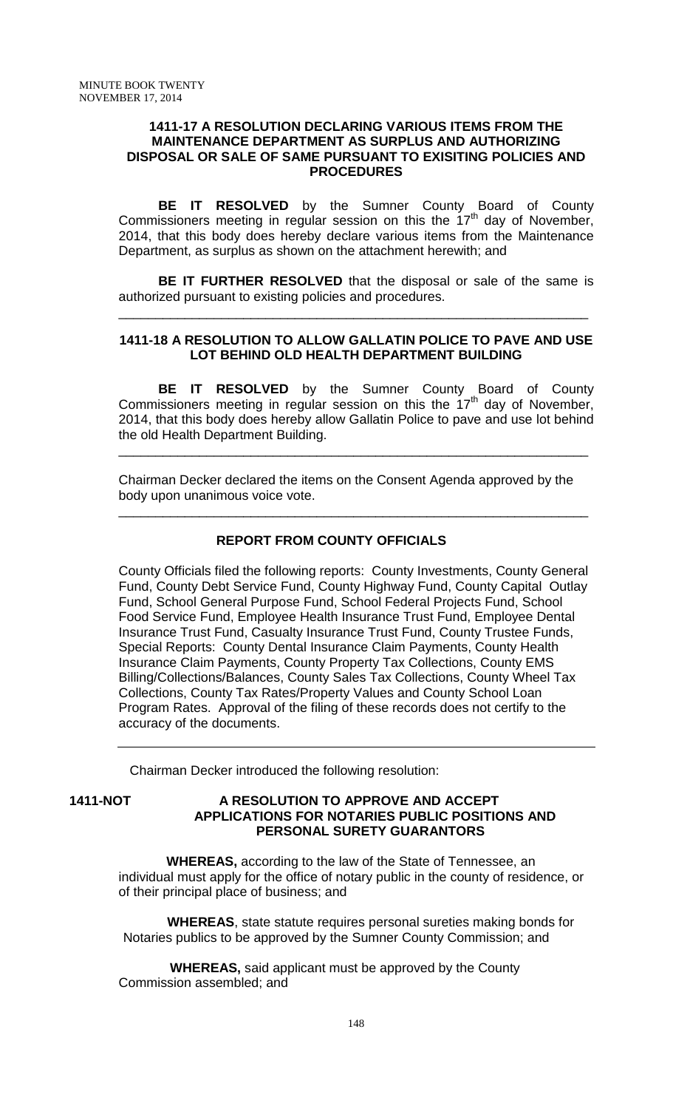#### **1411-17 A RESOLUTION DECLARING VARIOUS ITEMS FROM THE MAINTENANCE DEPARTMENT AS SURPLUS AND AUTHORIZING DISPOSAL OR SALE OF SAME PURSUANT TO EXISITING POLICIES AND PROCEDURES**

**BE IT RESOLVED** by the Sumner County Board of County Commissioners meeting in regular session on this the  $17<sup>th</sup>$  day of November, 2014, that this body does hereby declare various items from the Maintenance Department, as surplus as shown on the attachment herewith; and

**BE IT FURTHER RESOLVED** that the disposal or sale of the same is authorized pursuant to existing policies and procedures.

\_\_\_\_\_\_\_\_\_\_\_\_\_\_\_\_\_\_\_\_\_\_\_\_\_\_\_\_\_\_\_\_\_\_\_\_\_\_\_\_\_\_\_\_\_\_\_\_\_\_\_\_\_\_\_\_\_\_\_\_\_\_\_\_

## **1411-18 A RESOLUTION TO ALLOW GALLATIN POLICE TO PAVE AND USE LOT BEHIND OLD HEALTH DEPARTMENT BUILDING**

**BE IT RESOLVED** by the Sumner County Board of County Commissioners meeting in regular session on this the 17<sup>th</sup> day of November, 2014, that this body does hereby allow Gallatin Police to pave and use lot behind the old Health Department Building.

\_\_\_\_\_\_\_\_\_\_\_\_\_\_\_\_\_\_\_\_\_\_\_\_\_\_\_\_\_\_\_\_\_\_\_\_\_\_\_\_\_\_\_\_\_\_\_\_\_\_\_\_\_\_\_\_\_\_\_\_\_\_\_\_

Chairman Decker declared the items on the Consent Agenda approved by the body upon unanimous voice vote.

\_\_\_\_\_\_\_\_\_\_\_\_\_\_\_\_\_\_\_\_\_\_\_\_\_\_\_\_\_\_\_\_\_\_\_\_\_\_\_\_\_\_\_\_\_\_\_\_\_\_\_\_\_\_\_\_\_\_\_\_\_\_\_\_

# **REPORT FROM COUNTY OFFICIALS**

County Officials filed the following reports: County Investments, County General Fund, County Debt Service Fund, County Highway Fund, County Capital Outlay Fund, School General Purpose Fund, School Federal Projects Fund, School Food Service Fund, Employee Health Insurance Trust Fund, Employee Dental Insurance Trust Fund, Casualty Insurance Trust Fund, County Trustee Funds, Special Reports: County Dental Insurance Claim Payments, County Health Insurance Claim Payments, County Property Tax Collections, County EMS Billing/Collections/Balances, County Sales Tax Collections, County Wheel Tax Collections, County Tax Rates/Property Values and County School Loan Program Rates. Approval of the filing of these records does not certify to the accuracy of the documents.

Chairman Decker introduced the following resolution:

## **1411-NOT A RESOLUTION TO APPROVE AND ACCEPT APPLICATIONS FOR NOTARIES PUBLIC POSITIONS AND PERSONAL SURETY GUARANTORS**

 **WHEREAS,** according to the law of the State of Tennessee, an individual must apply for the office of notary public in the county of residence, or of their principal place of business; and

 **WHEREAS**, state statute requires personal sureties making bonds for Notaries publics to be approved by the Sumner County Commission; and

 **WHEREAS,** said applicant must be approved by the County Commission assembled; and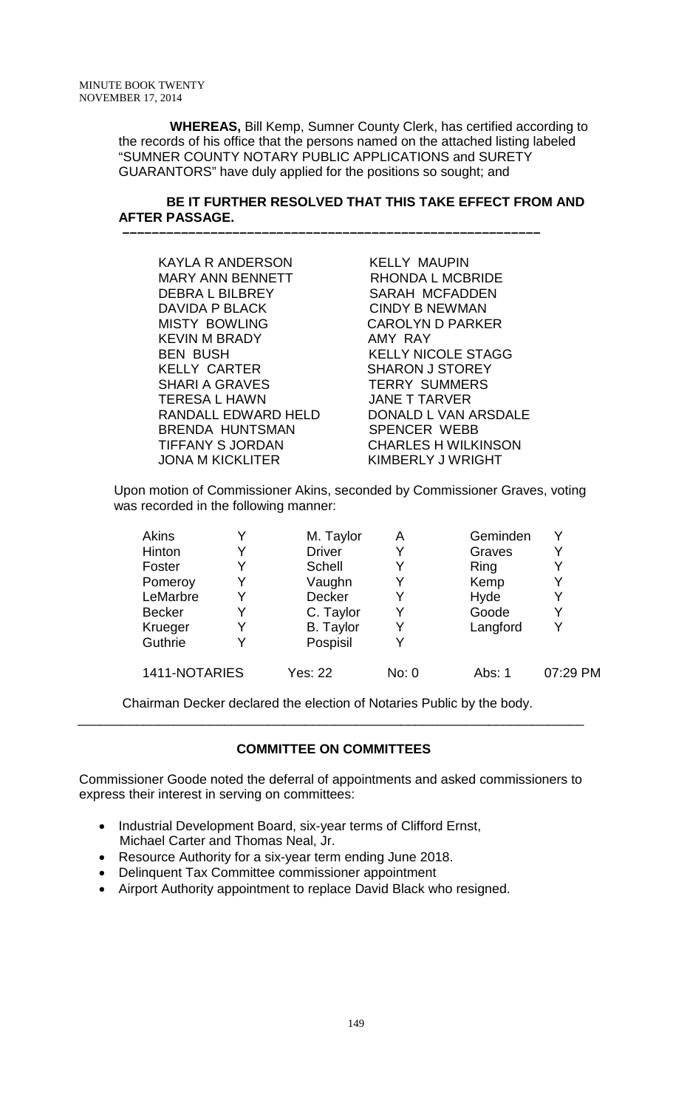**WHEREAS,** Bill Kemp, Sumner County Clerk, has certified according to the records of his office that the persons named on the attached listing labeled "SUMNER COUNTY NOTARY PUBLIC APPLICATIONS and SURETY GUARANTORS" have duly applied for the positions so sought; and

## **BE IT FURTHER RESOLVED THAT THIS TAKE EFFECT FROM AND AFTER PASSAGE.**

 **–––––––––––––––––––––––––––––––––––––––––––––––––––––––––**

| <b>KAYLA R ANDERSON</b> | <b>KELLY MAUPIN</b>        |
|-------------------------|----------------------------|
| <b>MARY ANN BENNETT</b> | RHONDA L MCBRIDE           |
| <b>DEBRAL BILBREY</b>   | <b>SARAH MCFADDEN</b>      |
| DAVIDA P BLACK          | <b>CINDY B NEWMAN</b>      |
| <b>MISTY BOWLING</b>    | <b>CAROLYN D PARKER</b>    |
| <b>KEVIN M BRADY</b>    | AMY RAY                    |
| <b>BEN BUSH</b>         | <b>KELLY NICOLE STAGG</b>  |
| <b>KELLY CARTER</b>     | <b>SHARON J STOREY</b>     |
| <b>SHARI A GRAVES</b>   | <b>TERRY SUMMERS</b>       |
| <b>TERESA L HAWN</b>    | <b>JANE T TARVER</b>       |
| RANDALL EDWARD HELD     | DONALD L VAN ARSDALE       |
| <b>BRENDA HUNTSMAN</b>  | <b>SPENCER WEBB</b>        |
| <b>TIFFANY S JORDAN</b> | <b>CHARLES H WILKINSON</b> |
| <b>JONA M KICKLITER</b> | KIMBERLY J WRIGHT          |

Upon motion of Commissioner Akins, seconded by Commissioner Graves, voting was recorded in the following manner:

| Akins         |   | M. Taylor        | Α     | Geminden |          |
|---------------|---|------------------|-------|----------|----------|
| Hinton        | Y | <b>Driver</b>    | Y     | Graves   | Y        |
| Foster        | Y | Schell           | Y     | Ring     | Y        |
| Pomeroy       |   | Vaughn           |       | Kemp     | Y        |
| LeMarbre      | Y | Decker           | Y     | Hyde     | Y        |
| <b>Becker</b> | Y | C. Taylor        | Y     | Goode    | Y        |
| Krueger       | Y | <b>B.</b> Taylor | Y     | Langford | v        |
| Guthrie       |   | Pospisil         | Y     |          |          |
| 1411-NOTARIES |   | Yes: 22          | No: 0 | Abs: 1   | 07:29 PM |

Chairman Decker declared the election of Notaries Public by the body. \_\_\_\_\_\_\_\_\_\_\_\_\_\_\_\_\_\_\_\_\_\_\_\_\_\_\_\_\_\_\_\_\_\_\_\_\_\_\_\_\_\_\_\_\_\_\_\_\_\_\_\_\_\_\_\_\_\_\_\_\_\_\_\_\_\_\_\_\_

# **COMMITTEE ON COMMITTEES**

Commissioner Goode noted the deferral of appointments and asked commissioners to express their interest in serving on committees:

- Industrial Development Board, six-year terms of Clifford Ernst, Michael Carter and Thomas Neal, Jr.
- Resource Authority for a six-year term ending June 2018.
- Delinquent Tax Committee commissioner appointment
- Airport Authority appointment to replace David Black who resigned.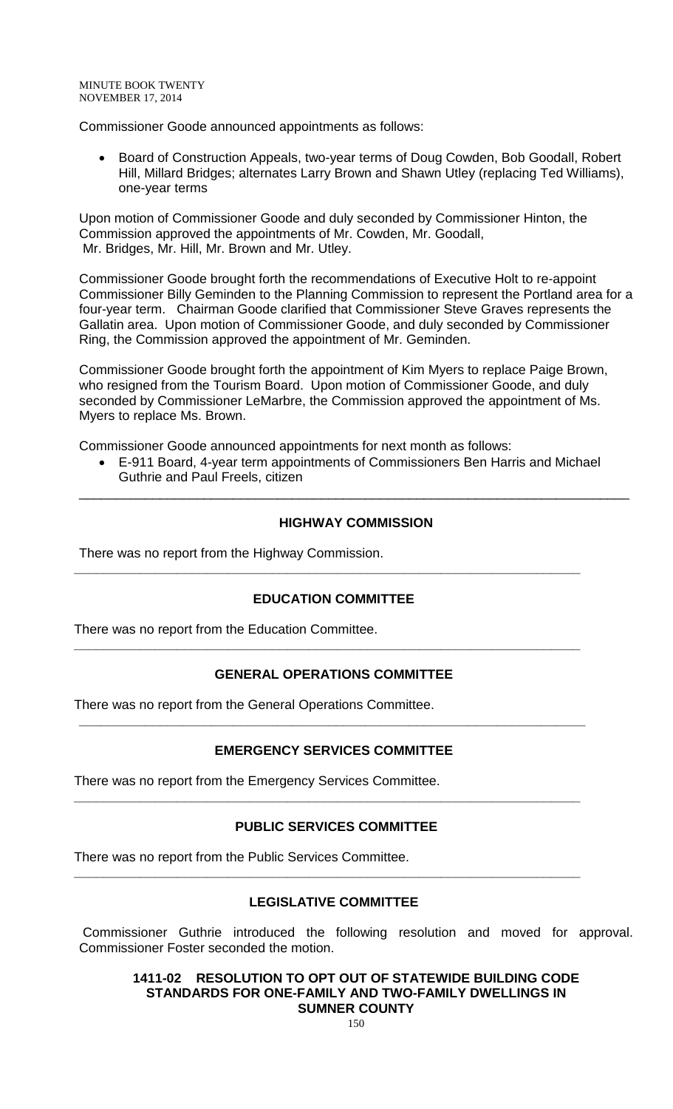Commissioner Goode announced appointments as follows:

• Board of Construction Appeals, two-year terms of Doug Cowden, Bob Goodall, Robert Hill, Millard Bridges; alternates Larry Brown and Shawn Utley (replacing Ted Williams), one-year terms

Upon motion of Commissioner Goode and duly seconded by Commissioner Hinton, the Commission approved the appointments of Mr. Cowden, Mr. Goodall, Mr. Bridges, Mr. Hill, Mr. Brown and Mr. Utley.

Commissioner Goode brought forth the recommendations of Executive Holt to re-appoint Commissioner Billy Geminden to the Planning Commission to represent the Portland area for a four-year term. Chairman Goode clarified that Commissioner Steve Graves represents the Gallatin area. Upon motion of Commissioner Goode, and duly seconded by Commissioner Ring, the Commission approved the appointment of Mr. Geminden.

Commissioner Goode brought forth the appointment of Kim Myers to replace Paige Brown, who resigned from the Tourism Board. Upon motion of Commissioner Goode, and duly seconded by Commissioner LeMarbre, the Commission approved the appointment of Ms. Myers to replace Ms. Brown.

Commissioner Goode announced appointments for next month as follows:

• E-911 Board, 4-year term appointments of Commissioners Ben Harris and Michael Guthrie and Paul Freels, citizen

## **HIGHWAY COMMISSION**

\_\_\_\_\_\_\_\_\_\_\_\_\_\_\_\_\_\_\_\_\_\_\_\_\_\_\_\_\_\_\_\_\_\_\_\_\_\_\_\_\_\_\_\_\_\_\_\_\_\_\_\_\_\_\_\_\_\_\_\_\_\_\_\_\_\_\_\_\_\_\_\_\_\_\_

There was no report from the Highway Commission.

### **EDUCATION COMMITTEE**

**\_\_\_\_\_\_\_\_\_\_\_\_\_\_\_\_\_\_\_\_\_\_\_\_\_\_\_\_\_\_\_\_\_\_\_\_\_\_\_\_\_\_\_\_\_\_\_\_\_\_\_\_\_\_\_\_\_\_\_\_\_\_\_\_\_\_\_\_\_**

There was no report from the Education Committee.

# **GENERAL OPERATIONS COMMITTEE**

**\_\_\_\_\_\_\_\_\_\_\_\_\_\_\_\_\_\_\_\_\_\_\_\_\_\_\_\_\_\_\_\_\_\_\_\_\_\_\_\_\_\_\_\_\_\_\_\_\_\_\_\_\_\_\_\_\_\_\_\_\_\_\_\_\_\_\_\_\_**

There was no report from the General Operations Committee.

# **EMERGENCY SERVICES COMMITTEE**

**\_\_\_\_\_\_\_\_\_\_\_\_\_\_\_\_\_\_\_\_\_\_\_\_\_\_\_\_\_\_\_\_\_\_\_\_\_\_\_\_\_\_\_\_\_\_\_\_\_\_\_\_\_\_\_\_\_\_\_\_\_\_\_\_\_\_\_\_\_**

There was no report from the Emergency Services Committee.

### **PUBLIC SERVICES COMMITTEE**

**\_\_\_\_\_\_\_\_\_\_\_\_\_\_\_\_\_\_\_\_\_\_\_\_\_\_\_\_\_\_\_\_\_\_\_\_\_\_\_\_\_\_\_\_\_\_\_\_\_\_\_\_\_\_\_\_\_\_\_\_\_\_\_\_\_\_\_\_\_**

There was no report from the Public Services Committee.

# **LEGISLATIVE COMMITTEE**

**\_\_\_\_\_\_\_\_\_\_\_\_\_\_\_\_\_\_\_\_\_\_\_\_\_\_\_\_\_\_\_\_\_\_\_\_\_\_\_\_\_\_\_\_\_\_\_\_\_\_\_\_\_\_\_\_\_\_\_\_\_\_\_\_\_\_\_\_\_**

Commissioner Guthrie introduced the following resolution and moved for approval. Commissioner Foster seconded the motion.

**1411-02 RESOLUTION TO OPT OUT OF STATEWIDE BUILDING CODE STANDARDS FOR ONE-FAMILY AND TWO-FAMILY DWELLINGS IN SUMNER COUNTY**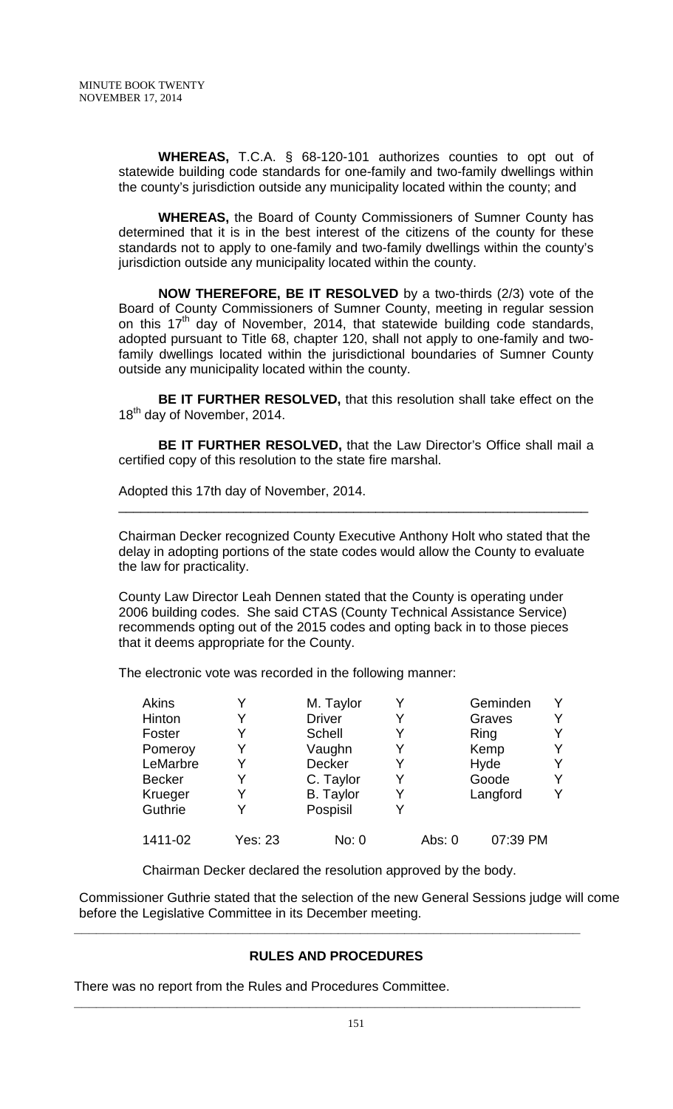**WHEREAS,** T.C.A. § 68-120-101 authorizes counties to opt out of statewide building code standards for one-family and two-family dwellings within the county's jurisdiction outside any municipality located within the county; and

**WHEREAS,** the Board of County Commissioners of Sumner County has determined that it is in the best interest of the citizens of the county for these standards not to apply to one-family and two-family dwellings within the county's jurisdiction outside any municipality located within the county.

**NOW THEREFORE, BE IT RESOLVED** by a two-thirds (2/3) vote of the Board of County Commissioners of Sumner County, meeting in regular session on this  $17<sup>th</sup>$  day of November, 2014, that statewide building code standards, adopted pursuant to Title 68, chapter 120, shall not apply to one-family and twofamily dwellings located within the jurisdictional boundaries of Sumner County outside any municipality located within the county.

**BE IT FURTHER RESOLVED,** that this resolution shall take effect on the 18<sup>th</sup> day of November, 2014.

**BE IT FURTHER RESOLVED,** that the Law Director's Office shall mail a certified copy of this resolution to the state fire marshal.

Adopted this 17th day of November, 2014.

Chairman Decker recognized County Executive Anthony Holt who stated that the delay in adopting portions of the state codes would allow the County to evaluate the law for practicality.

\_\_\_\_\_\_\_\_\_\_\_\_\_\_\_\_\_\_\_\_\_\_\_\_\_\_\_\_\_\_\_\_\_\_\_\_\_\_\_\_\_\_\_\_\_\_\_\_\_\_\_\_\_\_\_\_\_\_\_\_\_\_\_\_

County Law Director Leah Dennen stated that the County is operating under 2006 building codes. She said CTAS (County Technical Assistance Service) recommends opting out of the 2015 codes and opting back in to those pieces that it deems appropriate for the County.

The electronic vote was recorded in the following manner:

| <b>Akins</b>  |         | M. Taylor        |   |        | Geminden | Y |
|---------------|---------|------------------|---|--------|----------|---|
| Hinton        |         | <b>Driver</b>    |   |        | Graves   | Y |
| Foster        |         | <b>Schell</b>    |   |        | Ring     | Y |
| Pomeroy       | Y       | Vaughn           |   |        | Kemp     | Y |
| LeMarbre      | Y       | Decker           | Y |        | Hyde     | Y |
| <b>Becker</b> |         | C. Taylor        | Y |        | Goode    | Y |
| Krueger       |         | <b>B.</b> Taylor |   |        | Langford | Y |
| Guthrie       |         | Pospisil         | Y |        |          |   |
| 1411-02       | Yes: 23 | No: 0            |   | Abs: 0 | 07:39 PM |   |

Chairman Decker declared the resolution approved by the body.

**\_\_\_\_\_\_\_\_\_\_\_\_\_\_\_\_\_\_\_\_\_\_\_\_\_\_\_\_\_\_\_\_\_\_\_\_\_\_\_\_\_\_\_\_\_\_\_\_\_\_\_\_\_\_\_\_\_\_\_\_\_\_\_\_\_\_\_\_\_**

**\_\_\_\_\_\_\_\_\_\_\_\_\_\_\_\_\_\_\_\_\_\_\_\_\_\_\_\_\_\_\_\_\_\_\_\_\_\_\_\_\_\_\_\_\_\_\_\_\_\_\_\_\_\_\_\_\_\_\_\_\_\_\_\_\_\_\_\_\_**

Commissioner Guthrie stated that the selection of the new General Sessions judge will come before the Legislative Committee in its December meeting.

# **RULES AND PROCEDURES**

There was no report from the Rules and Procedures Committee.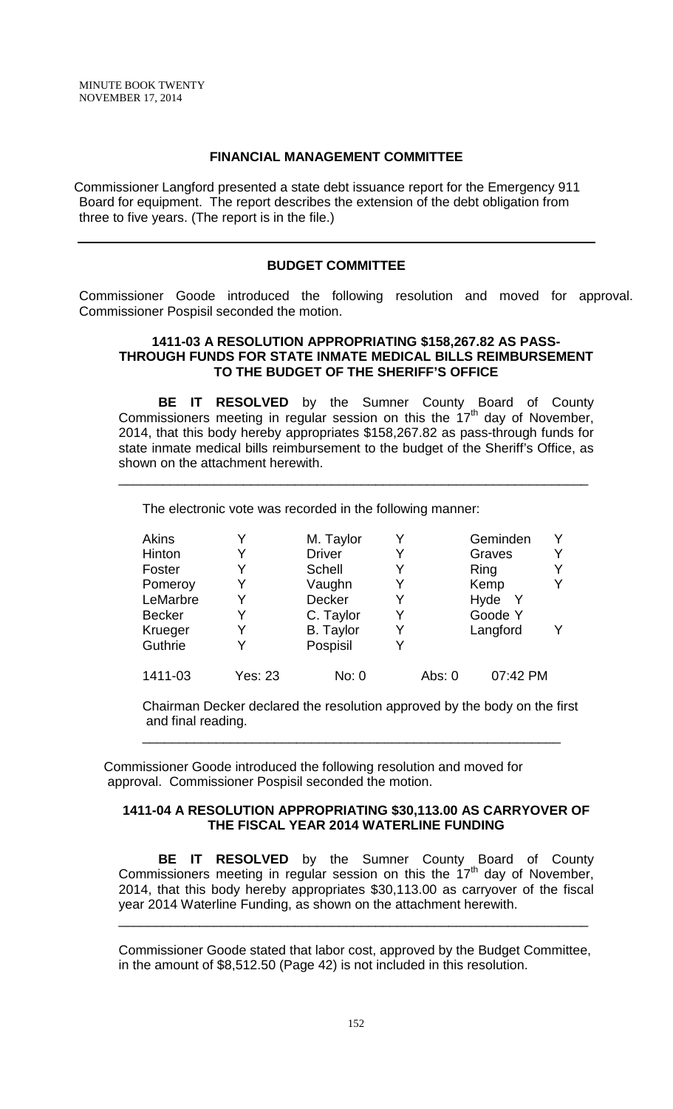## **FINANCIAL MANAGEMENT COMMITTEE**

Commissioner Langford presented a state debt issuance report for the Emergency 911 Board for equipment. The report describes the extension of the debt obligation from three to five years. (The report is in the file.)

#### **BUDGET COMMITTEE**

Commissioner Goode introduced the following resolution and moved for approval. Commissioner Pospisil seconded the motion.

### **1411-03 A RESOLUTION APPROPRIATING \$158,267.82 AS PASS-THROUGH FUNDS FOR STATE INMATE MEDICAL BILLS REIMBURSEMENT TO THE BUDGET OF THE SHERIFF'S OFFICE**

**BE IT RESOLVED** by the Sumner County Board of County Commissioners meeting in regular session on this the 17<sup>th</sup> day of November, 2014, that this body hereby appropriates \$158,267.82 as pass-through funds for state inmate medical bills reimbursement to the budget of the Sheriff's Office, as shown on the attachment herewith.

\_\_\_\_\_\_\_\_\_\_\_\_\_\_\_\_\_\_\_\_\_\_\_\_\_\_\_\_\_\_\_\_\_\_\_\_\_\_\_\_\_\_\_\_\_\_\_\_\_\_\_\_\_\_\_\_\_\_\_\_\_\_\_\_

The electronic vote was recorded in the following manner:

| <b>Akins</b>  |         | M. Taylor        |        | Geminden             |  |
|---------------|---------|------------------|--------|----------------------|--|
| Hinton        |         | <b>Driver</b>    |        | Graves               |  |
| Foster        |         | <b>Schell</b>    |        | Ring                 |  |
| Pomeroy       | Y       | Vaughn           |        | Kemp                 |  |
| LeMarbre      |         | <b>Decker</b>    |        | Hyde<br><sup>Y</sup> |  |
| <b>Becker</b> |         | C. Taylor        |        | Goode Y              |  |
| Krueger       |         | <b>B.</b> Taylor |        | Langford             |  |
| Guthrie       |         | Pospisil         |        |                      |  |
| 1411-03       | Yes: 23 | No: 0            | Abs: 0 | 07:42 PM             |  |

Chairman Decker declared the resolution approved by the body on the first and final reading.

\_\_\_\_\_\_\_\_\_\_\_\_\_\_\_\_\_\_\_\_\_\_\_\_\_\_\_\_\_\_\_\_\_\_\_\_\_\_\_\_\_\_\_\_\_\_\_\_\_\_\_\_\_\_\_\_\_

Commissioner Goode introduced the following resolution and moved for approval. Commissioner Pospisil seconded the motion.

### **1411-04 A RESOLUTION APPROPRIATING \$30,113.00 AS CARRYOVER OF THE FISCAL YEAR 2014 WATERLINE FUNDING**

**BE IT RESOLVED** by the Sumner County Board of County Commissioners meeting in regular session on this the  $17<sup>th</sup>$  day of November, 2014, that this body hereby appropriates \$30,113.00 as carryover of the fiscal year 2014 Waterline Funding, as shown on the attachment herewith.

Commissioner Goode stated that labor cost, approved by the Budget Committee, in the amount of \$8,512.50 (Page 42) is not included in this resolution.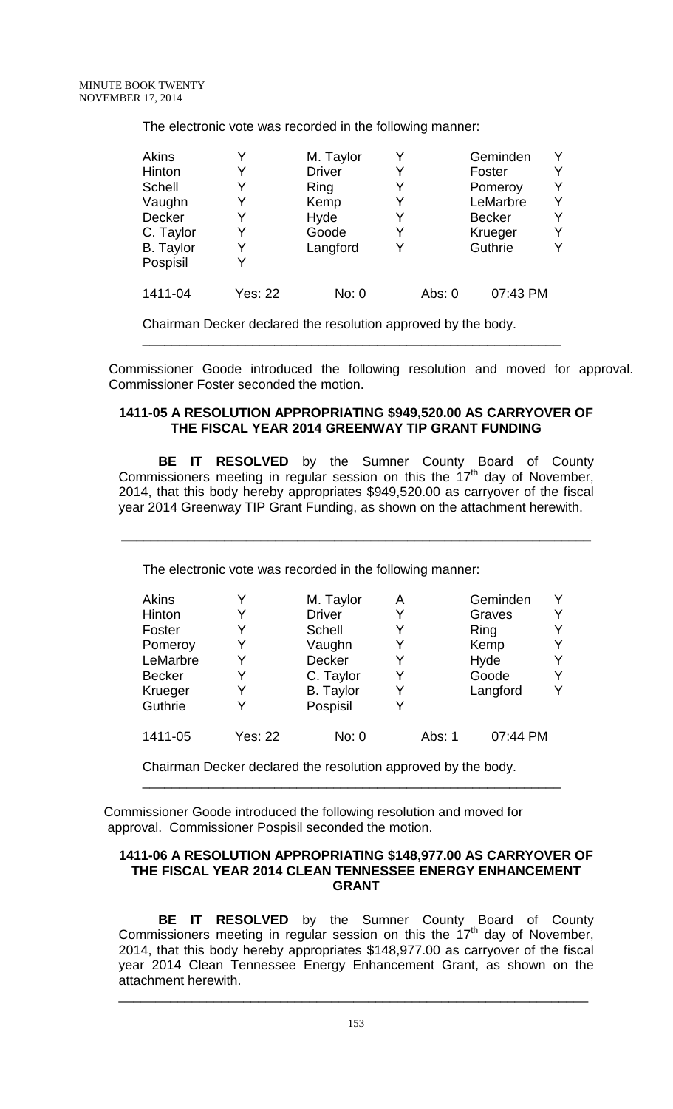The electronic vote was recorded in the following manner:

| Akins            |                | M. Taylor     |   |        | Geminden      | Y |
|------------------|----------------|---------------|---|--------|---------------|---|
| Hinton           |                | <b>Driver</b> | Y |        | Foster        | Y |
| <b>Schell</b>    |                | Ring          | Y |        | Pomeroy       | Y |
| Vaughn           |                | Kemp          |   |        | LeMarbre      | Y |
| Decker           | Y              | Hyde          | Y |        | <b>Becker</b> | Υ |
| C. Taylor        | Y              | Goode         | Y |        | Krueger       | Υ |
| <b>B.</b> Taylor |                | Langford      |   |        | Guthrie       | Υ |
| Pospisil         |                |               |   |        |               |   |
| 1411-04          | <b>Yes: 22</b> | No: 0         |   | Abs: 0 | 07:43 PM      |   |

Chairman Decker declared the resolution approved by the body.

Commissioner Goode introduced the following resolution and moved for approval. Commissioner Foster seconded the motion.

### **1411-05 A RESOLUTION APPROPRIATING \$949,520.00 AS CARRYOVER OF THE FISCAL YEAR 2014 GREENWAY TIP GRANT FUNDING**

\_\_\_\_\_\_\_\_\_\_\_\_\_\_\_\_\_\_\_\_\_\_\_\_\_\_\_\_\_\_\_\_\_\_\_\_\_\_\_\_\_\_\_\_\_\_\_\_\_\_\_\_\_\_\_\_\_

**BE IT RESOLVED** by the Sumner County Board of County Commissioners meeting in regular session on this the  $17<sup>th</sup>$  day of November, 2014, that this body hereby appropriates \$949,520.00 as carryover of the fiscal year 2014 Greenway TIP Grant Funding, as shown on the attachment herewith.

**\_\_\_\_\_\_\_\_\_\_\_\_\_\_\_\_\_\_\_\_\_\_\_\_\_\_\_\_\_\_\_\_\_\_\_\_\_\_\_\_\_\_\_\_\_\_\_\_\_\_\_\_\_\_\_\_\_\_\_\_\_\_\_\_**

The electronic vote was recorded in the following manner:

| Akins         |                | M. Taylor        | А |        | Geminden | Υ |
|---------------|----------------|------------------|---|--------|----------|---|
| Hinton        |                | <b>Driver</b>    |   |        | Graves   | Y |
| Foster        |                | <b>Schell</b>    | Y |        | Ring     | Y |
| Pomeroy       |                | Vaughn           |   |        | Kemp     | Y |
| LeMarbre      |                | Decker           | Y |        | Hyde     | Y |
| <b>Becker</b> | Y              | C. Taylor        | Y |        | Goode    | Y |
| Krueger       |                | <b>B.</b> Taylor |   |        | Langford | Y |
| Guthrie       |                | Pospisil         | Y |        |          |   |
| 1411-05       | <b>Yes: 22</b> | No: 0            |   | Abs: 1 | 07:44 PM |   |

Chairman Decker declared the resolution approved by the body.

Commissioner Goode introduced the following resolution and moved for approval. Commissioner Pospisil seconded the motion.

### **1411-06 A RESOLUTION APPROPRIATING \$148,977.00 AS CARRYOVER OF THE FISCAL YEAR 2014 CLEAN TENNESSEE ENERGY ENHANCEMENT GRANT**

\_\_\_\_\_\_\_\_\_\_\_\_\_\_\_\_\_\_\_\_\_\_\_\_\_\_\_\_\_\_\_\_\_\_\_\_\_\_\_\_\_\_\_\_\_\_\_\_\_\_\_\_\_\_\_\_\_

**BE IT RESOLVED** by the Sumner County Board of County Commissioners meeting in regular session on this the  $17<sup>th</sup>$  day of November, 2014, that this body hereby appropriates \$148,977.00 as carryover of the fiscal year 2014 Clean Tennessee Energy Enhancement Grant, as shown on the attachment herewith.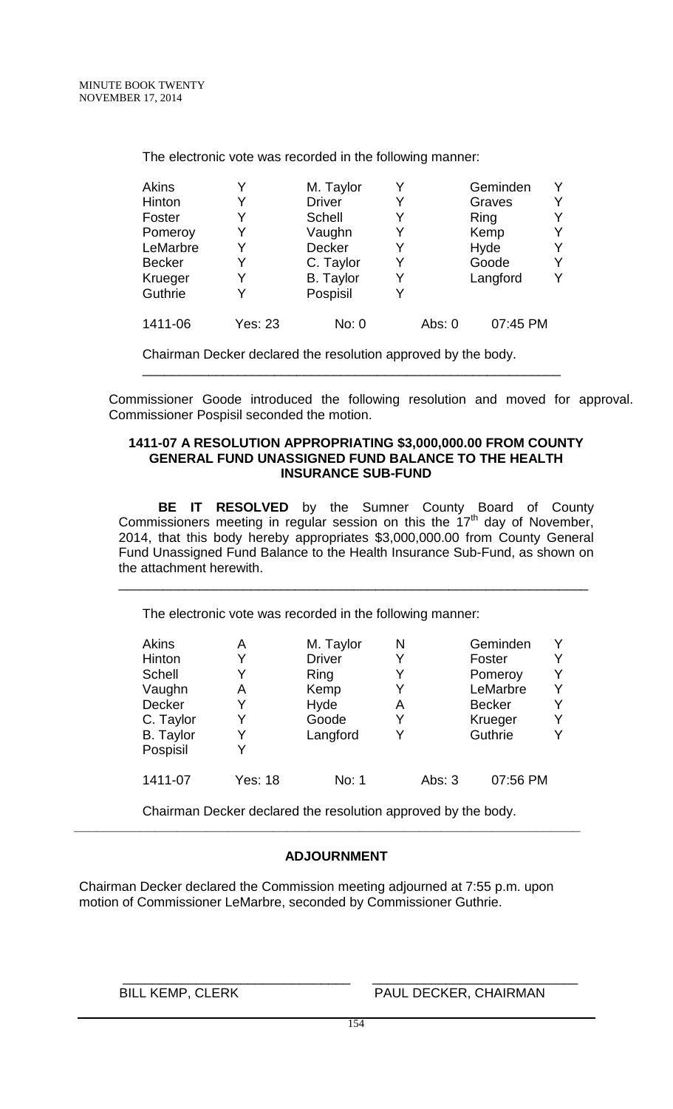The electronic vote was recorded in the following manner:

| <b>Akins</b>  |                | M. Taylor        | Y |          | Geminden | Υ |
|---------------|----------------|------------------|---|----------|----------|---|
| Hinton        |                | <b>Driver</b>    | Y |          | Graves   | Y |
| Foster        |                | <b>Schell</b>    | Y |          | Ring     | Υ |
| Pomeroy       | Y              | Vaughn           | Y |          | Kemp     | Y |
| LeMarbre      |                | Decker           | Y |          | Hyde     | Y |
| <b>Becker</b> |                | C. Taylor        | Y |          | Goode    | Y |
| Krueger       |                | <b>B.</b> Taylor | Y |          | Langford | Υ |
| Guthrie       |                | Pospisil         | Y |          |          |   |
| 1411-06       | <b>Yes: 23</b> | No: 0            |   | Abs: $0$ | 07:45 PM |   |

Chairman Decker declared the resolution approved by the body.

Commissioner Goode introduced the following resolution and moved for approval. Commissioner Pospisil seconded the motion.

#### **1411-07 A RESOLUTION APPROPRIATING \$3,000,000.00 FROM COUNTY GENERAL FUND UNASSIGNED FUND BALANCE TO THE HEALTH INSURANCE SUB-FUND**

\_\_\_\_\_\_\_\_\_\_\_\_\_\_\_\_\_\_\_\_\_\_\_\_\_\_\_\_\_\_\_\_\_\_\_\_\_\_\_\_\_\_\_\_\_\_\_\_\_\_\_\_\_\_\_\_\_

**BE IT RESOLVED** by the Sumner County Board of County Commissioners meeting in regular session on this the 17<sup>th</sup> day of November, 2014, that this body hereby appropriates \$3,000,000.00 from County General Fund Unassigned Fund Balance to the Health Insurance Sub-Fund, as shown on the attachment herewith.

\_\_\_\_\_\_\_\_\_\_\_\_\_\_\_\_\_\_\_\_\_\_\_\_\_\_\_\_\_\_\_\_\_\_\_\_\_\_\_\_\_\_\_\_\_\_\_\_\_\_\_\_\_\_\_\_\_\_\_\_\_\_\_\_

The electronic vote was recorded in the following manner:

| А              | M. Taylor     | N |          | Geminden      |  |
|----------------|---------------|---|----------|---------------|--|
|                | <b>Driver</b> |   |          | Foster        |  |
|                | Ring          |   |          | Pomeroy       |  |
| A              | Kemp          |   |          | LeMarbre      |  |
| Y              | Hyde          | A |          | <b>Becker</b> |  |
| Y              | Goode         | Y |          | Krueger       |  |
|                | Langford      |   |          | Guthrie       |  |
|                |               |   |          |               |  |
| <b>Yes: 18</b> | No: 1         |   | Abs: $3$ | 07:56 PM      |  |
|                |               |   |          |               |  |

Chairman Decker declared the resolution approved by the body. **\_\_\_\_\_\_\_\_\_\_\_\_\_\_\_\_\_\_\_\_\_\_\_\_\_\_\_\_\_\_\_\_\_\_\_\_\_\_\_\_\_\_\_\_\_\_\_\_\_\_\_\_\_\_\_\_\_\_\_\_\_\_\_\_\_\_\_\_\_**

# **ADJOURNMENT**

Chairman Decker declared the Commission meeting adjourned at 7:55 p.m. upon motion of Commissioner LeMarbre, seconded by Commissioner Guthrie.

 $\overline{\phantom{a}}$  , and the contract of the contract of the contract of  $\overline{\phantom{a}}$  , and  $\overline{\phantom{a}}$  , and  $\overline{\phantom{a}}$  , and  $\overline{\phantom{a}}$  , and  $\overline{\phantom{a}}$  , and  $\overline{\phantom{a}}$  , and  $\overline{\phantom{a}}$  , and  $\overline{\phantom{a}}$  , and  $\overline{\phantom{a}}$ BILL KEMP, CLERK PAUL DECKER, CHAIRMAN